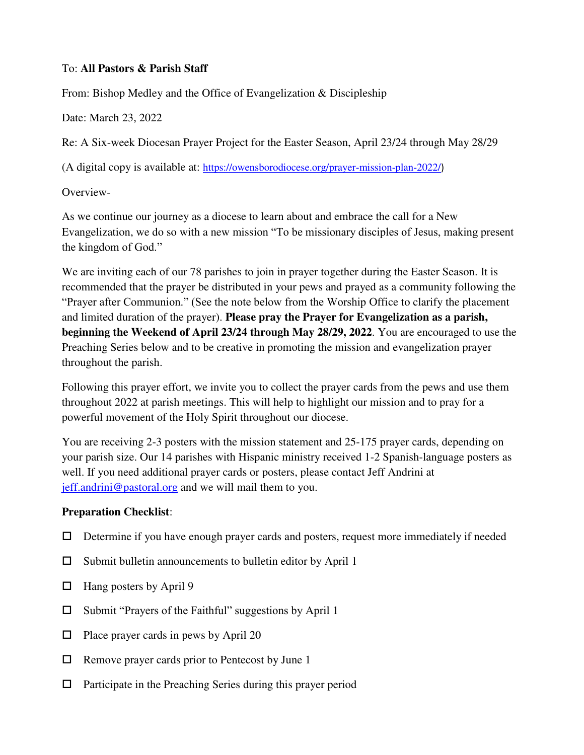#### To: **All Pastors & Parish Staff**

From: Bishop Medley and the Office of Evangelization & Discipleship

Date: March 23, 2022

Re: A Six-week Diocesan Prayer Project for the Easter Season, April 23/24 through May 28/29

(A digital copy is available at: <https://owensborodiocese.org/prayer-mission-plan-2022/>)

Overview-

As we continue our journey as a diocese to learn about and embrace the call for a New Evangelization, we do so with a new mission "To be missionary disciples of Jesus, making present the kingdom of God."

We are inviting each of our 78 parishes to join in prayer together during the Easter Season. It is recommended that the prayer be distributed in your pews and prayed as a community following the "Prayer after Communion." (See the note below from the Worship Office to clarify the placement and limited duration of the prayer). **Please pray the Prayer for Evangelization as a parish, beginning the Weekend of April 23/24 through May 28/29, 2022**. You are encouraged to use the Preaching Series below and to be creative in promoting the mission and evangelization prayer throughout the parish.

Following this prayer effort, we invite you to collect the prayer cards from the pews and use them throughout 2022 at parish meetings. This will help to highlight our mission and to pray for a powerful movement of the Holy Spirit throughout our diocese.

You are receiving 2-3 posters with the mission statement and 25-175 prayer cards, depending on your parish size. Our 14 parishes with Hispanic ministry received 1-2 Spanish-language posters as well. If you need additional prayer cards or posters, please contact Jeff Andrini at [jeff.andrini@pastoral.org](mailto:jeff.andrini@pastoral.org) and we will mail them to you.

# **Preparation Checklist**:

- $\Box$  Determine if you have enough prayer cards and posters, request more immediately if needed
- $\square$  Submit bulletin announcements to bulletin editor by April 1
- $\Box$  Hang posters by April 9
- $\Box$  Submit "Prayers of the Faithful" suggestions by April 1
- $\Box$  Place prayer cards in pews by April 20
- $\Box$  Remove prayer cards prior to Pentecost by June 1
- $\Box$  Participate in the Preaching Series during this prayer period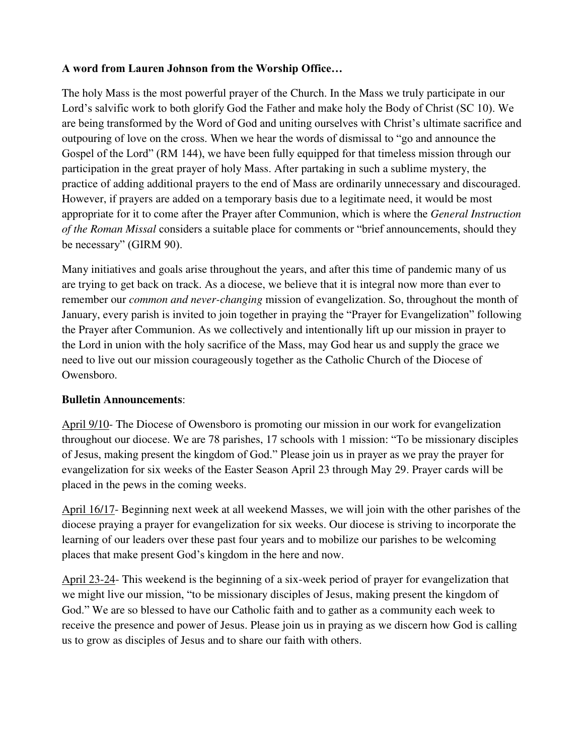### **A word from Lauren Johnson from the Worship Office…**

The holy Mass is the most powerful prayer of the Church. In the Mass we truly participate in our Lord's salvific work to both glorify God the Father and make holy the Body of Christ (SC 10). We are being transformed by the Word of God and uniting ourselves with Christ's ultimate sacrifice and outpouring of love on the cross. When we hear the words of dismissal to "go and announce the Gospel of the Lord" (RM 144), we have been fully equipped for that timeless mission through our participation in the great prayer of holy Mass. After partaking in such a sublime mystery, the practice of adding additional prayers to the end of Mass are ordinarily unnecessary and discouraged. However, if prayers are added on a temporary basis due to a legitimate need, it would be most appropriate for it to come after the Prayer after Communion, which is where the *General Instruction of the Roman Missal* considers a suitable place for comments or "brief announcements, should they be necessary" (GIRM 90).

Many initiatives and goals arise throughout the years, and after this time of pandemic many of us are trying to get back on track. As a diocese, we believe that it is integral now more than ever to remember our *common and never-changing* mission of evangelization. So, throughout the month of January, every parish is invited to join together in praying the "Prayer for Evangelization" following the Prayer after Communion. As we collectively and intentionally lift up our mission in prayer to the Lord in union with the holy sacrifice of the Mass, may God hear us and supply the grace we need to live out our mission courageously together as the Catholic Church of the Diocese of Owensboro.

#### **Bulletin Announcements**:

April 9/10- The Diocese of Owensboro is promoting our mission in our work for evangelization throughout our diocese. We are 78 parishes, 17 schools with 1 mission: "To be missionary disciples of Jesus, making present the kingdom of God." Please join us in prayer as we pray the prayer for evangelization for six weeks of the Easter Season April 23 through May 29. Prayer cards will be placed in the pews in the coming weeks.

April 16/17- Beginning next week at all weekend Masses, we will join with the other parishes of the diocese praying a prayer for evangelization for six weeks. Our diocese is striving to incorporate the learning of our leaders over these past four years and to mobilize our parishes to be welcoming places that make present God's kingdom in the here and now.

April 23-24- This weekend is the beginning of a six-week period of prayer for evangelization that we might live our mission, "to be missionary disciples of Jesus, making present the kingdom of God." We are so blessed to have our Catholic faith and to gather as a community each week to receive the presence and power of Jesus. Please join us in praying as we discern how God is calling us to grow as disciples of Jesus and to share our faith with others.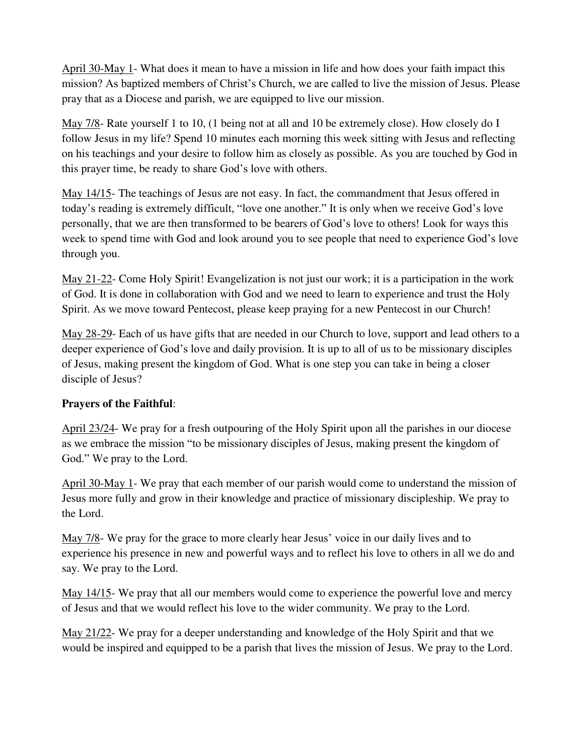April 30-May 1- What does it mean to have a mission in life and how does your faith impact this mission? As baptized members of Christ's Church, we are called to live the mission of Jesus. Please pray that as a Diocese and parish, we are equipped to live our mission.

May 7/8- Rate yourself 1 to 10, (1 being not at all and 10 be extremely close). How closely do I follow Jesus in my life? Spend 10 minutes each morning this week sitting with Jesus and reflecting on his teachings and your desire to follow him as closely as possible. As you are touched by God in this prayer time, be ready to share God's love with others.

May 14/15- The teachings of Jesus are not easy. In fact, the commandment that Jesus offered in today's reading is extremely difficult, "love one another." It is only when we receive God's love personally, that we are then transformed to be bearers of God's love to others! Look for ways this week to spend time with God and look around you to see people that need to experience God's love through you.

May 21-22- Come Holy Spirit! Evangelization is not just our work; it is a participation in the work of God. It is done in collaboration with God and we need to learn to experience and trust the Holy Spirit. As we move toward Pentecost, please keep praying for a new Pentecost in our Church!

May 28-29- Each of us have gifts that are needed in our Church to love, support and lead others to a deeper experience of God's love and daily provision. It is up to all of us to be missionary disciples of Jesus, making present the kingdom of God. What is one step you can take in being a closer disciple of Jesus?

# **Prayers of the Faithful**:

April 23/24- We pray for a fresh outpouring of the Holy Spirit upon all the parishes in our diocese as we embrace the mission "to be missionary disciples of Jesus, making present the kingdom of God." We pray to the Lord.

April 30-May 1- We pray that each member of our parish would come to understand the mission of Jesus more fully and grow in their knowledge and practice of missionary discipleship. We pray to the Lord.

May 7/8- We pray for the grace to more clearly hear Jesus' voice in our daily lives and to experience his presence in new and powerful ways and to reflect his love to others in all we do and say. We pray to the Lord.

May 14/15- We pray that all our members would come to experience the powerful love and mercy of Jesus and that we would reflect his love to the wider community. We pray to the Lord.

May 21/22- We pray for a deeper understanding and knowledge of the Holy Spirit and that we would be inspired and equipped to be a parish that lives the mission of Jesus. We pray to the Lord.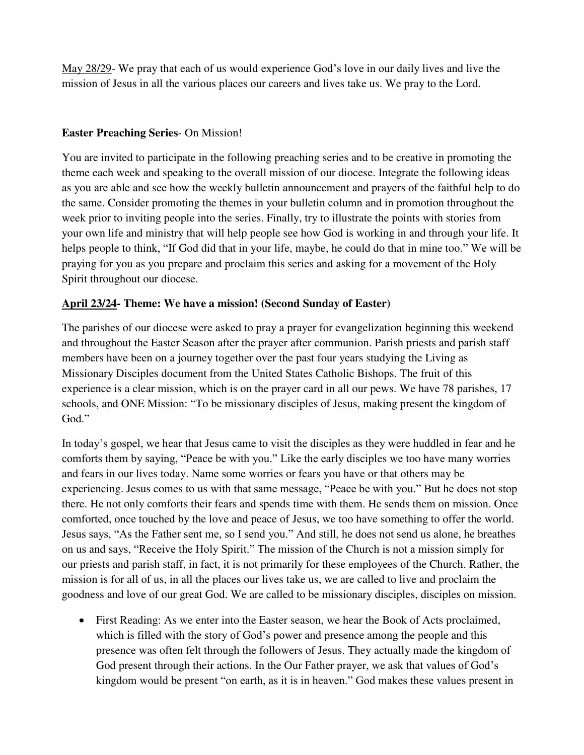May 28/29- We pray that each of us would experience God's love in our daily lives and live the mission of Jesus in all the various places our careers and lives take us. We pray to the Lord.

### **Easter Preaching Series**- On Mission!

You are invited to participate in the following preaching series and to be creative in promoting the theme each week and speaking to the overall mission of our diocese. Integrate the following ideas as you are able and see how the weekly bulletin announcement and prayers of the faithful help to do the same. Consider promoting the themes in your bulletin column and in promotion throughout the week prior to inviting people into the series. Finally, try to illustrate the points with stories from your own life and ministry that will help people see how God is working in and through your life. It helps people to think, "If God did that in your life, maybe, he could do that in mine too." We will be praying for you as you prepare and proclaim this series and asking for a movement of the Holy Spirit throughout our diocese.

# **April 23/24- Theme: We have a mission! (Second Sunday of Easter)**

The parishes of our diocese were asked to pray a prayer for evangelization beginning this weekend and throughout the Easter Season after the prayer after communion. Parish priests and parish staff members have been on a journey together over the past four years studying the Living as Missionary Disciples document from the United States Catholic Bishops. The fruit of this experience is a clear mission, which is on the prayer card in all our pews. We have 78 parishes, 17 schools, and ONE Mission: "To be missionary disciples of Jesus, making present the kingdom of God."

In today's gospel, we hear that Jesus came to visit the disciples as they were huddled in fear and he comforts them by saying, "Peace be with you." Like the early disciples we too have many worries and fears in our lives today. Name some worries or fears you have or that others may be experiencing. Jesus comes to us with that same message, "Peace be with you." But he does not stop there. He not only comforts their fears and spends time with them. He sends them on mission. Once comforted, once touched by the love and peace of Jesus, we too have something to offer the world. Jesus says, "As the Father sent me, so I send you." And still, he does not send us alone, he breathes on us and says, "Receive the Holy Spirit." The mission of the Church is not a mission simply for our priests and parish staff, in fact, it is not primarily for these employees of the Church. Rather, the mission is for all of us, in all the places our lives take us, we are called to live and proclaim the goodness and love of our great God. We are called to be missionary disciples, disciples on mission.

 First Reading: As we enter into the Easter season, we hear the Book of Acts proclaimed, which is filled with the story of God's power and presence among the people and this presence was often felt through the followers of Jesus. They actually made the kingdom of God present through their actions. In the Our Father prayer, we ask that values of God's kingdom would be present "on earth, as it is in heaven." God makes these values present in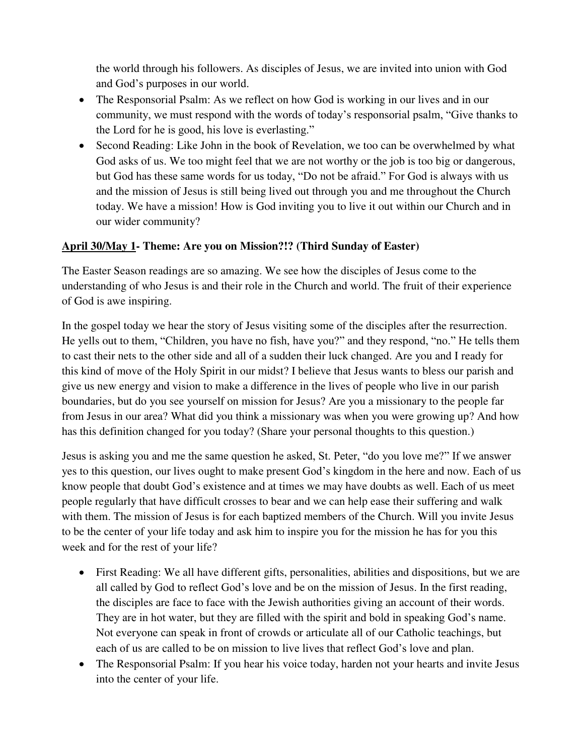the world through his followers. As disciples of Jesus, we are invited into union with God and God's purposes in our world.

- The Responsorial Psalm: As we reflect on how God is working in our lives and in our community, we must respond with the words of today's responsorial psalm, "Give thanks to the Lord for he is good, his love is everlasting."
- Second Reading: Like John in the book of Revelation, we too can be overwhelmed by what God asks of us. We too might feel that we are not worthy or the job is too big or dangerous, but God has these same words for us today, "Do not be afraid." For God is always with us and the mission of Jesus is still being lived out through you and me throughout the Church today. We have a mission! How is God inviting you to live it out within our Church and in our wider community?

### **April 30/May 1- Theme: Are you on Mission?!? (Third Sunday of Easter)**

The Easter Season readings are so amazing. We see how the disciples of Jesus come to the understanding of who Jesus is and their role in the Church and world. The fruit of their experience of God is awe inspiring.

In the gospel today we hear the story of Jesus visiting some of the disciples after the resurrection. He yells out to them, "Children, you have no fish, have you?" and they respond, "no." He tells them to cast their nets to the other side and all of a sudden their luck changed. Are you and I ready for this kind of move of the Holy Spirit in our midst? I believe that Jesus wants to bless our parish and give us new energy and vision to make a difference in the lives of people who live in our parish boundaries, but do you see yourself on mission for Jesus? Are you a missionary to the people far from Jesus in our area? What did you think a missionary was when you were growing up? And how has this definition changed for you today? (Share your personal thoughts to this question.)

Jesus is asking you and me the same question he asked, St. Peter, "do you love me?" If we answer yes to this question, our lives ought to make present God's kingdom in the here and now. Each of us know people that doubt God's existence and at times we may have doubts as well. Each of us meet people regularly that have difficult crosses to bear and we can help ease their suffering and walk with them. The mission of Jesus is for each baptized members of the Church. Will you invite Jesus to be the center of your life today and ask him to inspire you for the mission he has for you this week and for the rest of your life?

- First Reading: We all have different gifts, personalities, abilities and dispositions, but we are all called by God to reflect God's love and be on the mission of Jesus. In the first reading, the disciples are face to face with the Jewish authorities giving an account of their words. They are in hot water, but they are filled with the spirit and bold in speaking God's name. Not everyone can speak in front of crowds or articulate all of our Catholic teachings, but each of us are called to be on mission to live lives that reflect God's love and plan.
- The Responsorial Psalm: If you hear his voice today, harden not your hearts and invite Jesus into the center of your life.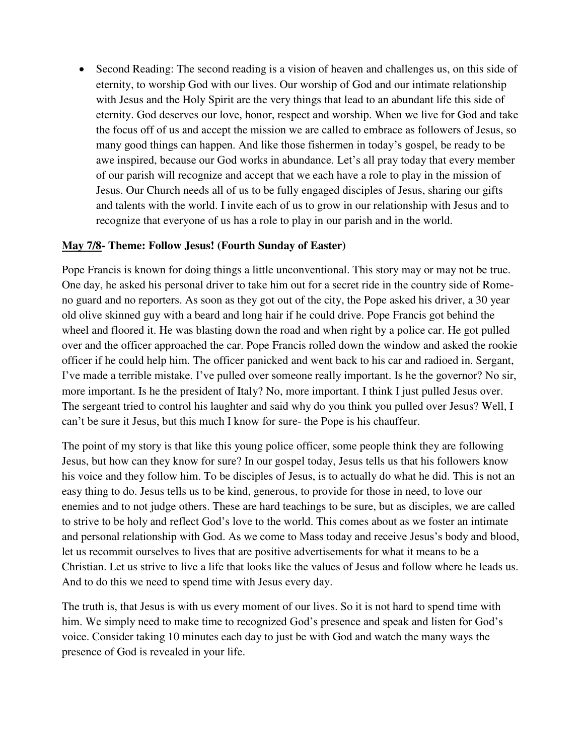Second Reading: The second reading is a vision of heaven and challenges us, on this side of eternity, to worship God with our lives. Our worship of God and our intimate relationship with Jesus and the Holy Spirit are the very things that lead to an abundant life this side of eternity. God deserves our love, honor, respect and worship. When we live for God and take the focus off of us and accept the mission we are called to embrace as followers of Jesus, so many good things can happen. And like those fishermen in today's gospel, be ready to be awe inspired, because our God works in abundance. Let's all pray today that every member of our parish will recognize and accept that we each have a role to play in the mission of Jesus. Our Church needs all of us to be fully engaged disciples of Jesus, sharing our gifts and talents with the world. I invite each of us to grow in our relationship with Jesus and to recognize that everyone of us has a role to play in our parish and in the world.

#### **May 7/8- Theme: Follow Jesus! (Fourth Sunday of Easter)**

Pope Francis is known for doing things a little unconventional. This story may or may not be true. One day, he asked his personal driver to take him out for a secret ride in the country side of Romeno guard and no reporters. As soon as they got out of the city, the Pope asked his driver, a 30 year old olive skinned guy with a beard and long hair if he could drive. Pope Francis got behind the wheel and floored it. He was blasting down the road and when right by a police car. He got pulled over and the officer approached the car. Pope Francis rolled down the window and asked the rookie officer if he could help him. The officer panicked and went back to his car and radioed in. Sergant, I've made a terrible mistake. I've pulled over someone really important. Is he the governor? No sir, more important. Is he the president of Italy? No, more important. I think I just pulled Jesus over. The sergeant tried to control his laughter and said why do you think you pulled over Jesus? Well, I can't be sure it Jesus, but this much I know for sure- the Pope is his chauffeur.

The point of my story is that like this young police officer, some people think they are following Jesus, but how can they know for sure? In our gospel today, Jesus tells us that his followers know his voice and they follow him. To be disciples of Jesus, is to actually do what he did. This is not an easy thing to do. Jesus tells us to be kind, generous, to provide for those in need, to love our enemies and to not judge others. These are hard teachings to be sure, but as disciples, we are called to strive to be holy and reflect God's love to the world. This comes about as we foster an intimate and personal relationship with God. As we come to Mass today and receive Jesus's body and blood, let us recommit ourselves to lives that are positive advertisements for what it means to be a Christian. Let us strive to live a life that looks like the values of Jesus and follow where he leads us. And to do this we need to spend time with Jesus every day.

The truth is, that Jesus is with us every moment of our lives. So it is not hard to spend time with him. We simply need to make time to recognized God's presence and speak and listen for God's voice. Consider taking 10 minutes each day to just be with God and watch the many ways the presence of God is revealed in your life.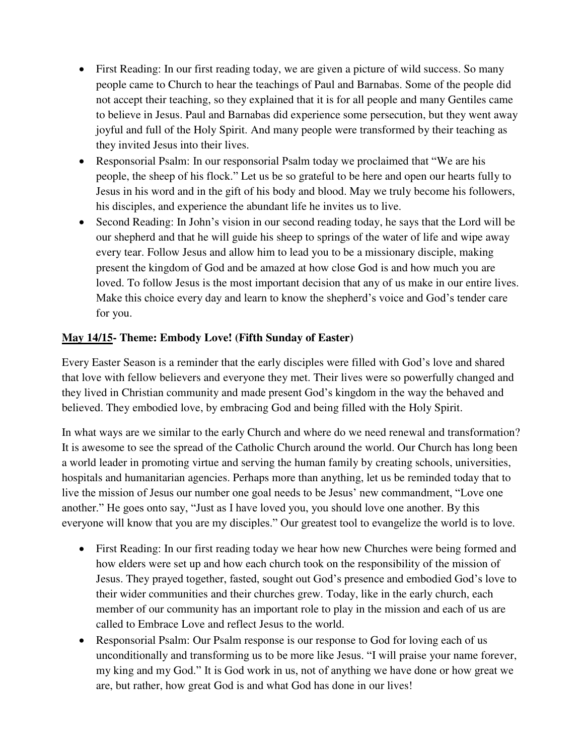- First Reading: In our first reading today, we are given a picture of wild success. So many people came to Church to hear the teachings of Paul and Barnabas. Some of the people did not accept their teaching, so they explained that it is for all people and many Gentiles came to believe in Jesus. Paul and Barnabas did experience some persecution, but they went away joyful and full of the Holy Spirit. And many people were transformed by their teaching as they invited Jesus into their lives.
- Responsorial Psalm: In our responsorial Psalm today we proclaimed that "We are his people, the sheep of his flock." Let us be so grateful to be here and open our hearts fully to Jesus in his word and in the gift of his body and blood. May we truly become his followers, his disciples, and experience the abundant life he invites us to live.
- Second Reading: In John's vision in our second reading today, he says that the Lord will be our shepherd and that he will guide his sheep to springs of the water of life and wipe away every tear. Follow Jesus and allow him to lead you to be a missionary disciple, making present the kingdom of God and be amazed at how close God is and how much you are loved. To follow Jesus is the most important decision that any of us make in our entire lives. Make this choice every day and learn to know the shepherd's voice and God's tender care for you.

# **May 14/15- Theme: Embody Love! (Fifth Sunday of Easter)**

Every Easter Season is a reminder that the early disciples were filled with God's love and shared that love with fellow believers and everyone they met. Their lives were so powerfully changed and they lived in Christian community and made present God's kingdom in the way the behaved and believed. They embodied love, by embracing God and being filled with the Holy Spirit.

In what ways are we similar to the early Church and where do we need renewal and transformation? It is awesome to see the spread of the Catholic Church around the world. Our Church has long been a world leader in promoting virtue and serving the human family by creating schools, universities, hospitals and humanitarian agencies. Perhaps more than anything, let us be reminded today that to live the mission of Jesus our number one goal needs to be Jesus' new commandment, "Love one another." He goes onto say, "Just as I have loved you, you should love one another. By this everyone will know that you are my disciples." Our greatest tool to evangelize the world is to love.

- First Reading: In our first reading today we hear how new Churches were being formed and how elders were set up and how each church took on the responsibility of the mission of Jesus. They prayed together, fasted, sought out God's presence and embodied God's love to their wider communities and their churches grew. Today, like in the early church, each member of our community has an important role to play in the mission and each of us are called to Embrace Love and reflect Jesus to the world.
- Responsorial Psalm: Our Psalm response is our response to God for loving each of us unconditionally and transforming us to be more like Jesus. "I will praise your name forever, my king and my God." It is God work in us, not of anything we have done or how great we are, but rather, how great God is and what God has done in our lives!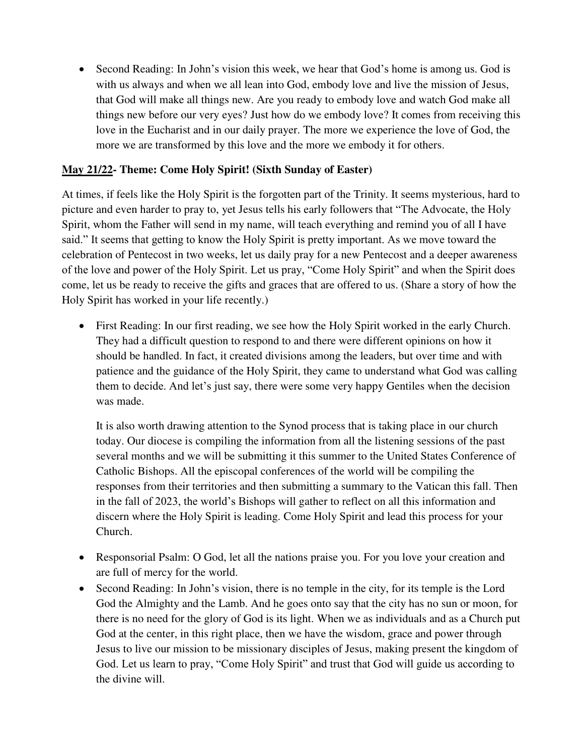Second Reading: In John's vision this week, we hear that God's home is among us. God is with us always and when we all lean into God, embody love and live the mission of Jesus, that God will make all things new. Are you ready to embody love and watch God make all things new before our very eyes? Just how do we embody love? It comes from receiving this love in the Eucharist and in our daily prayer. The more we experience the love of God, the more we are transformed by this love and the more we embody it for others.

# **May 21/22- Theme: Come Holy Spirit! (Sixth Sunday of Easter)**

At times, if feels like the Holy Spirit is the forgotten part of the Trinity. It seems mysterious, hard to picture and even harder to pray to, yet Jesus tells his early followers that "The Advocate, the Holy Spirit, whom the Father will send in my name, will teach everything and remind you of all I have said." It seems that getting to know the Holy Spirit is pretty important. As we move toward the celebration of Pentecost in two weeks, let us daily pray for a new Pentecost and a deeper awareness of the love and power of the Holy Spirit. Let us pray, "Come Holy Spirit" and when the Spirit does come, let us be ready to receive the gifts and graces that are offered to us. (Share a story of how the Holy Spirit has worked in your life recently.)

 First Reading: In our first reading, we see how the Holy Spirit worked in the early Church. They had a difficult question to respond to and there were different opinions on how it should be handled. In fact, it created divisions among the leaders, but over time and with patience and the guidance of the Holy Spirit, they came to understand what God was calling them to decide. And let's just say, there were some very happy Gentiles when the decision was made.

It is also worth drawing attention to the Synod process that is taking place in our church today. Our diocese is compiling the information from all the listening sessions of the past several months and we will be submitting it this summer to the United States Conference of Catholic Bishops. All the episcopal conferences of the world will be compiling the responses from their territories and then submitting a summary to the Vatican this fall. Then in the fall of 2023, the world's Bishops will gather to reflect on all this information and discern where the Holy Spirit is leading. Come Holy Spirit and lead this process for your Church.

- Responsorial Psalm: O God, let all the nations praise you. For you love your creation and are full of mercy for the world.
- Second Reading: In John's vision, there is no temple in the city, for its temple is the Lord God the Almighty and the Lamb. And he goes onto say that the city has no sun or moon, for there is no need for the glory of God is its light. When we as individuals and as a Church put God at the center, in this right place, then we have the wisdom, grace and power through Jesus to live our mission to be missionary disciples of Jesus, making present the kingdom of God. Let us learn to pray, "Come Holy Spirit" and trust that God will guide us according to the divine will.